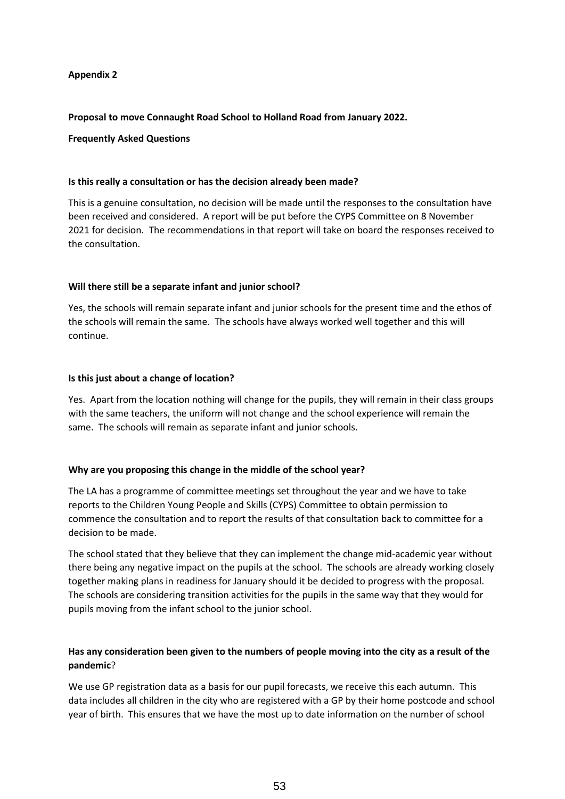### **Appendix 2**

#### **Proposal to move Connaught Road School to Holland Road from January 2022.**

#### **Frequently Asked Questions**

#### **Is this really a consultation or has the decision already been made?**

This is a genuine consultation, no decision will be made until the responses to the consultation have been received and considered. A report will be put before the CYPS Committee on 8 November 2021 for decision. The recommendations in that report will take on board the responses received to the consultation.

### **Will there still be a separate infant and junior school?**

Yes, the schools will remain separate infant and junior schools for the present time and the ethos of the schools will remain the same. The schools have always worked well together and this will continue.

### **Is this just about a change of location?**

Yes. Apart from the location nothing will change for the pupils, they will remain in their class groups with the same teachers, the uniform will not change and the school experience will remain the same. The schools will remain as separate infant and junior schools.

## **Why are you proposing this change in the middle of the school year?**

The LA has a programme of committee meetings set throughout the year and we have to take reports to the Children Young People and Skills (CYPS) Committee to obtain permission to commence the consultation and to report the results of that consultation back to committee for a decision to be made.

The school stated that they believe that they can implement the change mid-academic year without there being any negative impact on the pupils at the school. The schools are already working closely together making plans in readiness for January should it be decided to progress with the proposal. The schools are considering transition activities for the pupils in the same way that they would for pupils moving from the infant school to the junior school.

# **Has any consideration been given to the numbers of people moving into the city as a result of the pandemic**?

We use GP registration data as a basis for our pupil forecasts, we receive this each autumn. This data includes all children in the city who are registered with a GP by their home postcode and school year of birth. This ensures that we have the most up to date information on the number of school